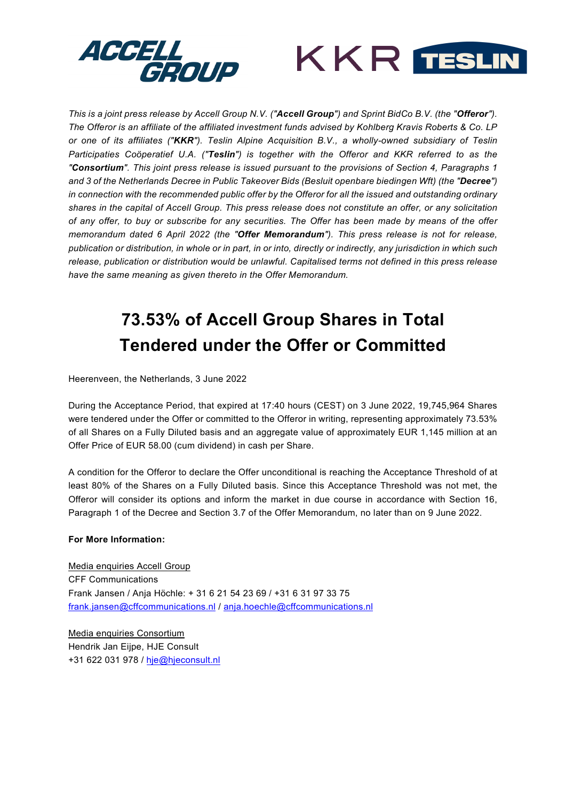



*This is a joint press release by Accell Group N.V. ("Accell Group") and Sprint BidCo B.V. (the "Offeror"). The Offeror is an affiliate of the affiliated investment funds advised by Kohlberg Kravis Roberts & Co. LP or one of its affiliates ("KKR"). Teslin Alpine Acquisition B.V., a wholly-owned subsidiary of Teslin Participaties Coöperatief U.A. ("Teslin") is together with the Offeror and KKR referred to as the "Consortium". This joint press release is issued pursuant to the provisions of Section 4, Paragraphs 1 and 3 of the Netherlands Decree in Public Takeover Bids (Besluit openbare biedingen Wft) (the "Decree") in connection with the recommended public offer by the Offeror for all the issued and outstanding ordinary shares in the capital of Accell Group. This press release does not constitute an offer, or any solicitation of any offer, to buy or subscribe for any securities. The Offer has been made by means of the offer memorandum dated 6 April 2022 (the "Offer Memorandum"). This press release is not for release, publication or distribution, in whole or in part, in or into, directly or indirectly, any jurisdiction in which such release, publication or distribution would be unlawful. Capitalised terms not defined in this press release have the same meaning as given thereto in the Offer Memorandum.* 

# **73.53% of Accell Group Shares in Total Tendered under the Offer or Committed**

Heerenveen, the Netherlands, 3 June 2022

During the Acceptance Period, that expired at 17:40 hours (CEST) on 3 June 2022, 19,745,964 Shares were tendered under the Offer or committed to the Offeror in writing, representing approximately 73.53% of all Shares on a Fully Diluted basis and an aggregate value of approximately EUR 1,145 million at an Offer Price of EUR 58.00 (cum dividend) in cash per Share.

A condition for the Offeror to declare the Offer unconditional is reaching the Acceptance Threshold of at least 80% of the Shares on a Fully Diluted basis. Since this Acceptance Threshold was not met, the Offeror will consider its options and inform the market in due course in accordance with Section 16, Paragraph 1 of the Decree and Section 3.7 of the Offer Memorandum, no later than on 9 June 2022.

## **For More Information:**

Media enquiries Accell Group CFF Communications Frank Jansen / Anja Höchle: + 31 6 21 54 23 69 / +31 6 31 97 33 75 [frank.jansen@cffcommunications.nl](mailto:frank.jansen@cffcommunications.nl) / [anja.hoechle@cffcommunications.nl](mailto:anja.hoechle@cffcommunications.nl) 

Media enquiries Consortium Hendrik Jan Eijpe, HJE Consult +31 622 031 978 / [hje@hjeconsult.nl](mailto:hje@hjeconsult.nl)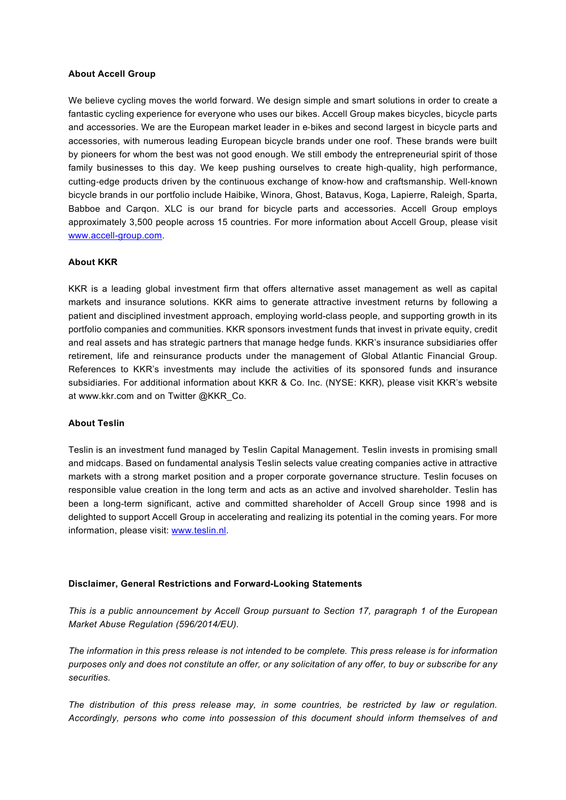## **About Accell Group**

We believe cycling moves the world forward. We design simple and smart solutions in order to create a fantastic cycling experience for everyone who uses our bikes. Accell Group makes bicycles, bicycle parts and accessories. We are the European market leader in e‐bikes and second largest in bicycle parts and accessories, with numerous leading European bicycle brands under one roof. These brands were built by pioneers for whom the best was not good enough. We still embody the entrepreneurial spirit of those family businesses to this day. We keep pushing ourselves to create high-quality, high performance, cutting‐edge products driven by the continuous exchange of know‐how and craftsmanship. Well‐known bicycle brands in our portfolio include Haibike, Winora, Ghost, Batavus, Koga, Lapierre, Raleigh, Sparta, Babboe and Carqon. XLC is our brand for bicycle parts and accessories. Accell Group employs approximately 3,500 people across 15 countries. For more information about Accell Group, please visit [www.accell-group.com.](http://www.accell-group.com/)

### **About KKR**

KKR is a leading global investment firm that offers alternative asset management as well as capital markets and insurance solutions. KKR aims to generate attractive investment returns by following a patient and disciplined investment approach, employing world-class people, and supporting growth in its portfolio companies and communities. KKR sponsors investment funds that invest in private equity, credit and real assets and has strategic partners that manage hedge funds. KKR's insurance subsidiaries offer retirement, life and reinsurance products under the management of Global Atlantic Financial Group. References to KKR's investments may include the activities of its sponsored funds and insurance subsidiaries. For additional information about KKR & Co. Inc. (NYSE: KKR), please visit KKR's website at www.kkr.com and on Twitter @KKR\_Co.

#### **About Teslin**

Teslin is an investment fund managed by Teslin Capital Management. Teslin invests in promising small and midcaps. Based on fundamental analysis Teslin selects value creating companies active in attractive markets with a strong market position and a proper corporate governance structure. Teslin focuses on responsible value creation in the long term and acts as an active and involved shareholder. Teslin has been a long-term significant, active and committed shareholder of Accell Group since 1998 and is delighted to support Accell Group in accelerating and realizing its potential in the coming years. For more information, please visit: [www.teslin.nl.](http://www.teslin.nl/)

#### **Disclaimer, General Restrictions and Forward-Looking Statements**

*This is a public announcement by Accell Group pursuant to Section 17, paragraph 1 of the European Market Abuse Regulation (596/2014/EU).* 

*The information in this press release is not intended to be complete. This press release is for information purposes only and does not constitute an offer, or any solicitation of any offer, to buy or subscribe for any securities.* 

*The distribution of this press release may, in some countries, be restricted by law or regulation. Accordingly, persons who come into possession of this document should inform themselves of and*